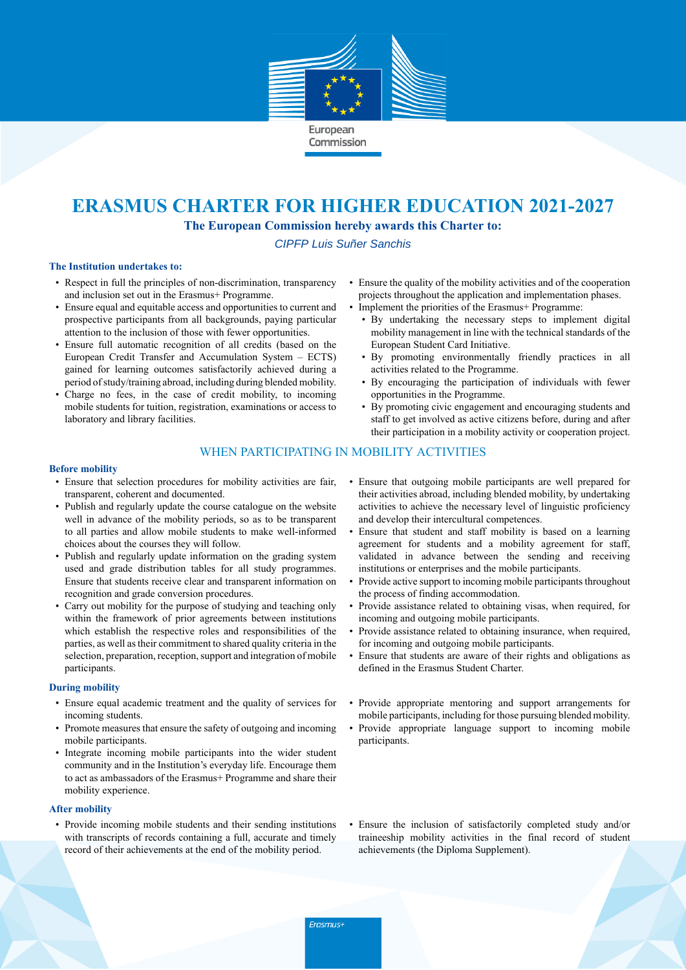

## **ERASMUS CHARTER FOR HIGHER EDUCATION 2021-2027**

**The European Commission hereby awards this Charter to:**

CIPFP Luis Suñer Sanchis

### **The Institution undertakes to:**

- Respect in full the principles of non-discrimination, transparency and inclusion set out in the Erasmus+ Programme.
- Ensure equal and equitable access and opportunities to current and prospective participants from all backgrounds, paying particular attention to the inclusion of those with fewer opportunities.
- Ensure full automatic recognition of all credits (based on the European Credit Transfer and Accumulation System – ECTS) gained for learning outcomes satisfactorily achieved during a period ofstudy/training abroad, including during blended mobility.
- Charge no fees, in the case of credit mobility, to incoming mobile students for tuition, registration, examinations or access to laboratory and library facilities.
- Ensure the quality of the mobility activities and of the cooperation projects throughout the application and implementation phases.
- Implement the priorities of the Erasmus+ Programme:
	- By undertaking the necessary steps to implement digital mobility management in line with the technical standards of the European Student Card Initiative.
	- By promoting environmentally friendly practices in all activities related to the Programme.
	- By encouraging the participation of individuals with fewer opportunities in the Programme.
	- By promoting civic engagement and encouraging students and staff to get involved as active citizens before, during and after their participation in a mobility activity or cooperation project.

## WHEN PARTICIPATING IN MOBILITY ACTIVITIES

### **Before mobility**

- Ensure that selection procedures for mobility activities are fair, transparent, coherent and documented.
- Publish and regularly update the course catalogue on the website well in advance of the mobility periods, so as to be transparent to all parties and allow mobile students to make well-informed choices about the courses they will follow.
- Publish and regularly update information on the grading system used and grade distribution tables for all study programmes. Ensure that students receive clear and transparent information on recognition and grade conversion procedures.
- Carry out mobility for the purpose of studying and teaching only within the framework of prior agreements between institutions which establish the respective roles and responsibilities of the parties, as well as their commitment to shared quality criteria in the selection, preparation, reception, support and integration of mobile participants.

### **During mobility**

- Ensure equal academic treatment and the quality of services for incoming students.
- Promote measures that ensure the safety of outgoing and incoming mobile participants.
- Integrate incoming mobile participants into the wider student community and in the Institution's everyday life. Encourage them to act as ambassadors of the Erasmus+ Programme and share their mobility experience.

### **After mobility**

• Provide incoming mobile students and their sending institutions with transcripts of records containing a full, accurate and timely record of their achievements at the end of the mobility period.

- Ensure that outgoing mobile participants are well prepared for their activities abroad, including blended mobility, by undertaking activities to achieve the necessary level of linguistic proficiency and develop their intercultural competences.
- Ensure that student and staff mobility is based on a learning agreement for students and a mobility agreement for staff, validated in advance between the sending and receiving institutions or enterprises and the mobile participants.
- Provide active support to incoming mobile participants throughout the process of finding accommodation.
- Provide assistance related to obtaining visas, when required, for incoming and outgoing mobile participants.
- Provide assistance related to obtaining insurance, when required, for incoming and outgoing mobile participants.
- Ensure that students are aware of their rights and obligations as defined in the Erasmus Student Charter.
- Provide appropriate mentoring and support arrangements for mobile participants, including for those pursuing blended mobility.
- Provide appropriate language support to incoming mobile participants.
- Ensure the inclusion of satisfactorily completed study and/or traineeship mobility activities in the final record of student achievements (the Diploma Supplement).

Erasmus+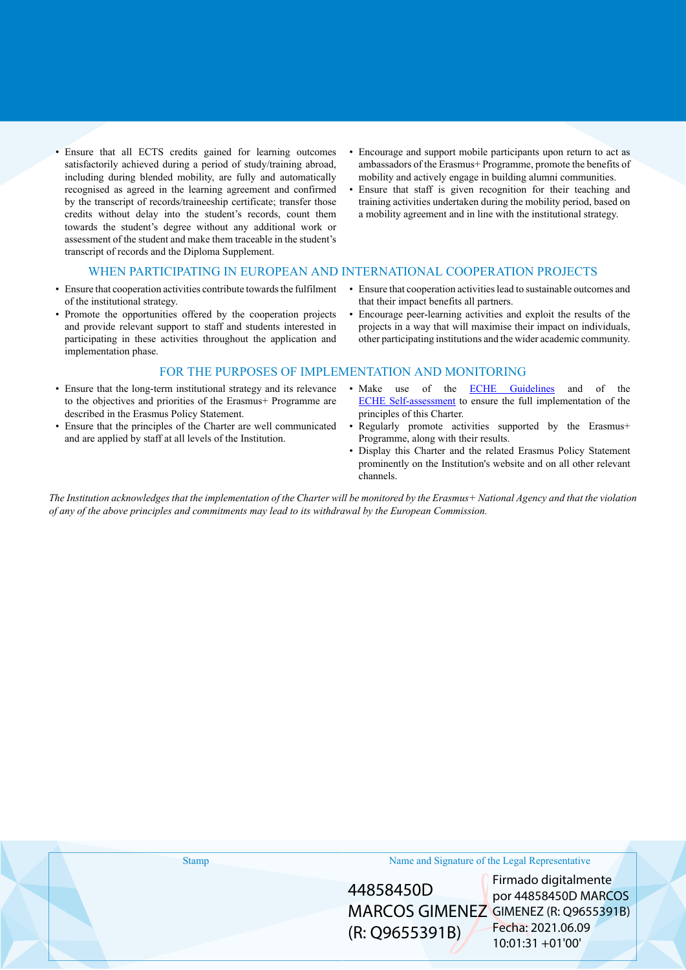- Ensure that all ECTS credits gained for learning outcomes satisfactorily achieved during a period of study/training abroad, including during blended mobility, are fully and automatically recognised as agreed in the learning agreement and confirmed by the transcript of records/traineeship certificate; transfer those credits without delay into the student's records, count them towards the student's degree without any additional work or assessment of the student and make them traceable in the student's transcript of records and the Diploma Supplement.
- Encourage and support mobile participants upon return to act as ambassadors of the Erasmus+ Programme, promote the benefits of mobility and actively engage in building alumni communities.
- Ensure that staff is given recognition for their teaching and training activities undertaken during the mobility period, based on a mobility agreement and in line with the institutional strategy.

## WHEN PARTICIPATING IN EUROPEAN AND INTERNATIONAL COOPERATION PROJECTS

- Ensure that cooperation activities contribute towards the fulfilment of the institutional strategy.
- Promote the opportunities offered by the cooperation projects and provide relevant support to staff and students interested in participating in these activities throughout the application and implementation phase.
- Ensure that cooperation activities lead to sustainable outcomes and that their impact benefits all partners.
- Encourage peer-learning activities and exploit the results of the projects in a way that will maximise their impact on individuals, other participating institutions and the wider academic community.

## FOR THE PURPOSES OF IMPLEMENTATION AND MONITORING

- Ensure that the long-term institutional strategy and its relevance to the objectives and priorities of the Erasmus+ Programme are described in the Erasmus Policy Statement.
- Ensure that the principles of the Charter are well communicated and are applied by staff at all levels of the Institution.
- Make use of the [ECHE Guidelines](https://ec.europa.eu/programmes/erasmus-plus/sites/erasmusplus/files/files/resources/charter-annotated-guidelines-Feb2020_en.pdf) and of the [ECHE Self-assessment](https://ec.europa.eu/programmes/erasmus-plus/eche/start_en) to ensure the full implementation of the principles of this Charter.
- Regularly promote activities supported by the Erasmus+ Programme, along with their results.
- Display this Charter and the related Erasmus Policy Statement prominently on the Institution's website and on all other relevant channels.

The Institution acknowledges that the implementation of the Charter will be monitored by the Erasmus+ National Agency and that the violation *of any of the above principles and commitments may lead to its withdrawal by the European Commission.*

| <b>Stamp</b> | Name and Signature of the Legal Representative |                                                                                                                                   |  |
|--------------|------------------------------------------------|-----------------------------------------------------------------------------------------------------------------------------------|--|
|              | 44858450D<br>(R: Q9655391B)                    | Firmado digitalmente<br>por 44858450D MARCOS<br>MARCOS GIMENEZ GIMENEZ (R: Q9655391B)<br>Fecha: 2021.06.09<br>$10:01:31 + 01'00'$ |  |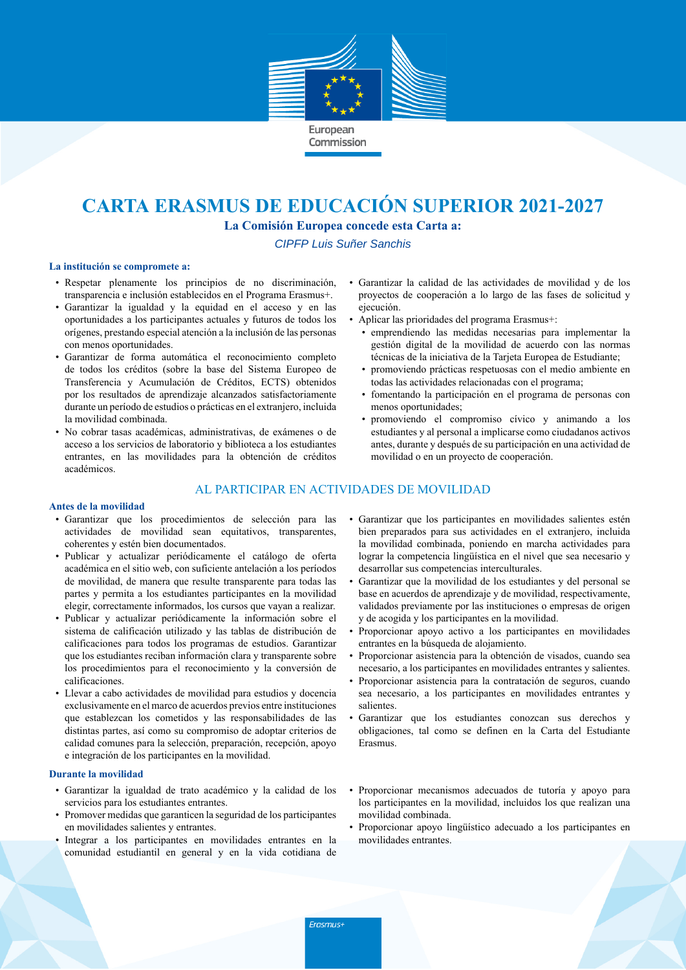

# **CARTA ERASMUS DE EDUCACIÓN SUPERIOR 2021-2027**

**La Comisión Europea concede esta Carta a:**

CIPFP Luis Suñer Sanchis

### **La institución se compromete a:**

- Respetar plenamente los principios de no discriminación, transparencia e inclusión establecidos en el Programa Erasmus+.
- Garantizar la igualdad y la equidad en el acceso y en las oportunidades a los participantes actuales y futuros de todos los orígenes, prestando especial atención a la inclusión de las personas con menos oportunidades.
- Garantizar de forma automática el reconocimiento completo de todos los créditos (sobre la base del Sistema Europeo de Transferencia y Acumulación de Créditos, ECTS) obtenidos por los resultados de aprendizaje alcanzados satisfactoriamente durante un período de estudios o prácticas en el extranjero, incluida la movilidad combinada.
- No cobrar tasas académicas, administrativas, de exámenes o de acceso a los servicios de laboratorio y biblioteca a los estudiantes entrantes, en las movilidades para la obtención de créditos académicos.
- Garantizar la calidad de las actividades de movilidad y de los proyectos de cooperación a lo largo de las fases de solicitud y ejecución.
- Aplicar las prioridades del programa Erasmus+:
	- emprendiendo las medidas necesarias para implementar la gestión digital de la movilidad de acuerdo con las normas técnicas de la iniciativa de la Tarjeta Europea de Estudiante;
	- promoviendo prácticas respetuosas con el medio ambiente en todas las actividades relacionadas con el programa;
	- fomentando la participación en el programa de personas con menos oportunidades;
	- promoviendo el compromiso cívico y animando a los estudiantes y al personal a implicarse como ciudadanos activos antes, durante y después de su participación en una actividad de movilidad o en un proyecto de cooperación.

## AL PARTICIPAR EN ACTIVIDADES DE MOVILIDAD

#### **Antes de la movilidad**

- Garantizar que los procedimientos de selección para las actividades de movilidad sean equitativos, transparentes, coherentes y estén bien documentados.
- Publicar y actualizar periódicamente el catálogo de oferta académica en el sitio web, con suficiente antelación a los períodos de movilidad, de manera que resulte transparente para todas las partes y permita a los estudiantes participantes en la movilidad elegir, correctamente informados, los cursos que vayan a realizar.
- Publicar y actualizar periódicamente la información sobre el sistema de calificación utilizado y las tablas de distribución de calificaciones para todos los programas de estudios. Garantizar que los estudiantes reciban información clara y transparente sobre los procedimientos para el reconocimiento y la conversión de calificaciones.
- Llevar a cabo actividades de movilidad para estudios y docencia exclusivamente en el marco de acuerdos previos entre instituciones que establezcan los cometidos y las responsabilidades de las distintas partes, así como su compromiso de adoptar criterios de calidad comunes para la selección, preparación, recepción, apoyo e integración de los participantes en la movilidad.

### **Durante la movilidad**

- Garantizar la igualdad de trato académico y la calidad de los servicios para los estudiantes entrantes.
- Promover medidas que garanticen la seguridad de los participantes en movilidades salientes y entrantes.
- Integrar a los participantes en movilidades entrantes en la comunidad estudiantil en general y en la vida cotidiana de
- Garantizar que los participantes en movilidades salientes estén bien preparados para sus actividades en el extranjero, incluida la movilidad combinada, poniendo en marcha actividades para lograr la competencia lingüística en el nivel que sea necesario y desarrollar sus competencias interculturales.
- Garantizar que la movilidad de los estudiantes y del personal se base en acuerdos de aprendizaje y de movilidad, respectivamente, validados previamente por las instituciones o empresas de origen y de acogida y los participantes en la movilidad.
- Proporcionar apoyo activo a los participantes en movilidades entrantes en la búsqueda de alojamiento.
- Proporcionar asistencia para la obtención de visados, cuando sea necesario, a los participantes en movilidades entrantes y salientes.
- Proporcionar asistencia para la contratación de seguros, cuando sea necesario, a los participantes en movilidades entrantes y salientes.
- Garantizar que los estudiantes conozcan sus derechos y obligaciones, tal como se definen en la Carta del Estudiante Erasmus.
- Proporcionar mecanismos adecuados de tutoría y apoyo para los participantes en la movilidad, incluidos los que realizan una movilidad combinada.
- Proporcionar apoyo lingüístico adecuado a los participantes en movilidades entrantes.

Erasmus+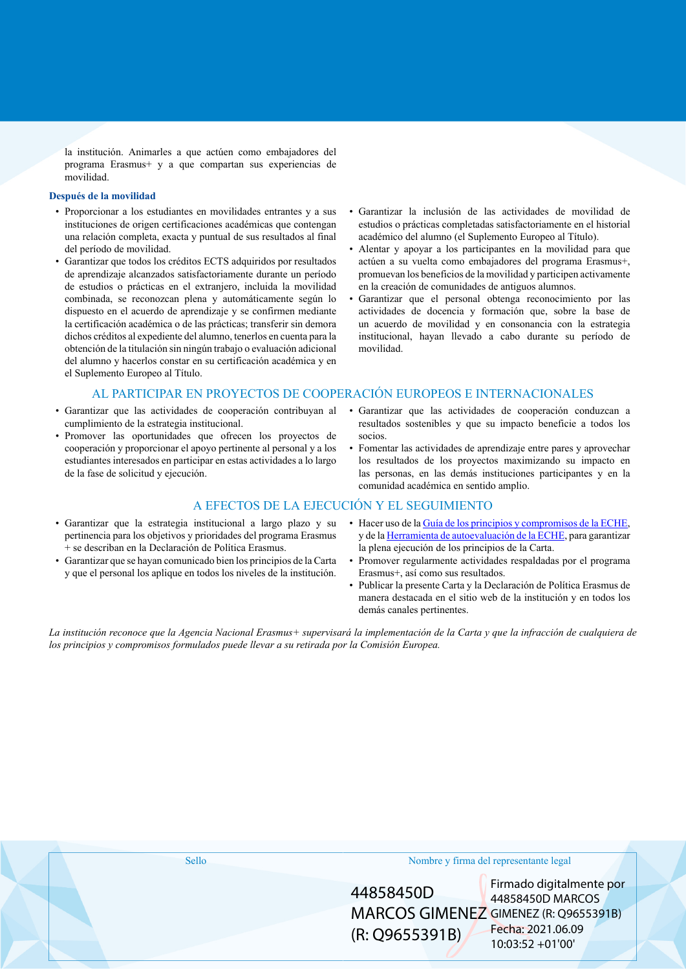la institución. Animarles a que actúen como embajadores del programa Erasmus+ y a que compartan sus experiencias de movilidad.

### **Después de la movilidad**

- Proporcionar a los estudiantes en movilidades entrantes y a sus instituciones de origen certificaciones académicas que contengan una relación completa, exacta y puntual de sus resultados al final del período de movilidad.
- Garantizar que todos los créditos ECTS adquiridos por resultados de aprendizaje alcanzados satisfactoriamente durante un período de estudios o prácticas en el extranjero, incluida la movilidad combinada, se reconozcan plena y automáticamente según lo dispuesto en el acuerdo de aprendizaje y se confirmen mediante la certificación académica o de las prácticas; transferir sin demora dichos créditos al expediente del alumno, tenerlos en cuenta para la obtención de la titulación sin ningún trabajo o evaluación adicional del alumno y hacerlos constar en su certificación académica y en el Suplemento Europeo al Título.
- Garantizar la inclusión de las actividades de movilidad de estudios o prácticas completadas satisfactoriamente en el historial académico del alumno (el Suplemento Europeo al Título).
- Alentar y apoyar a los participantes en la movilidad para que actúen a su vuelta como embajadores del programa Erasmus+, promuevan los beneficios de la movilidad y participen activamente en la creación de comunidades de antiguos alumnos.
- Garantizar que el personal obtenga reconocimiento por las actividades de docencia y formación que, sobre la base de un acuerdo de movilidad y en consonancia con la estrategia institucional, hayan llevado a cabo durante su período de movilidad.

## AL PARTICIPAR EN PROYECTOS DE COOPERACIÓN EUROPEOS E INTERNACIONALES

- Garantizar que las actividades de cooperación contribuyan al cumplimiento de la estrategia institucional.
- Promover las oportunidades que ofrecen los proyectos de cooperación y proporcionar el apoyo pertinente al personal y a los estudiantes interesados en participar en estas actividades a lo largo de la fase de solicitud y ejecución.
- Garantizar que las actividades de cooperación conduzcan a resultados sostenibles y que su impacto beneficie a todos los socios.
- Fomentar las actividades de aprendizaje entre pares y aprovechar los resultados de los proyectos maximizando su impacto en las personas, en las demás instituciones participantes y en la comunidad académica en sentido amplio.

## A EFECTOS DE LA EJECUCIÓN Y EL SEGUIMIENTO

- Garantizar que la estrategia institucional a largo plazo y su pertinencia para los objetivos y prioridades del programa Erasmus + se describan en la Declaración de Política Erasmus.
- Garantizar que se hayan comunicado bien los principios de la Carta y que el personal los aplique en todos los niveles de la institución.
- Hacer uso de la [Guía de los principios y compromisos de la ECHE,](https://ec.europa.eu/programmes/erasmus-plus/sites/erasmusplus/files/files/resources/charter-annotated-guidelines-Feb2020_en.pdf) y de la [Herramienta de autoevaluación de la ECHE](https://ec.europa.eu/programmes/erasmus-plus/eche/start_en), para garantizar la plena ejecución de los principios de la Carta.
- Promover regularmente actividades respaldadas por el programa Erasmus+, así como sus resultados.
- Publicar la presente Carta y la Declaración de Política Erasmus de manera destacada en el sitio web de la institución y en todos los demás canales pertinentes.

La institución reconoce que la Agencia Nacional Erasmus+ supervisará la implementación de la Carta y que la infracción de cualquiera de *los principios y compromisos formulados puede llevar a su retirada por la Comisión Europea.*

|  | Nombre y firma del representante legal<br>Sello |                             |  |                                                                                                                                  |  |  |
|--|-------------------------------------------------|-----------------------------|--|----------------------------------------------------------------------------------------------------------------------------------|--|--|
|  |                                                 | 44858450D<br>(R: Q9655391B) |  | Firmado digitalmente por<br>44858450D MARCOS<br>MARCOS GIMENEZ GIMENEZ (R: Q9655391B)<br>Fecha: 2021.06.09<br>$10:03:52 +01'00'$ |  |  |